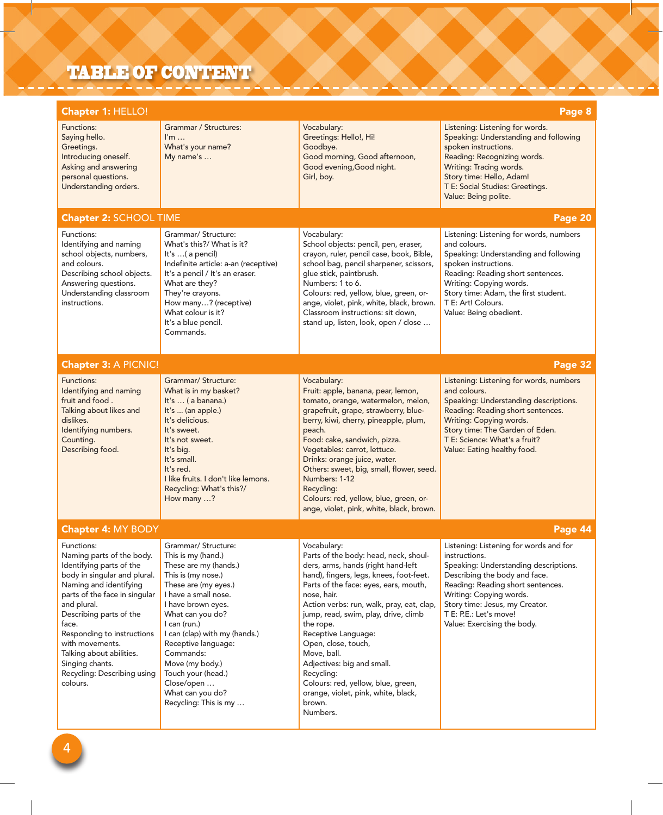## TABLE OF CONTENT

| Chapter 1: HELLO!<br>Page 8                                                                                                                                                                                                                                                                                                                                  |                                                                                                                                                                                                                                                                                                                                                                             |                                                                                                                                                                                                                                                                                                                                                                                                                                                                                                             |                                                                                                                                                                                                                                                                                              |  |  |  |  |
|--------------------------------------------------------------------------------------------------------------------------------------------------------------------------------------------------------------------------------------------------------------------------------------------------------------------------------------------------------------|-----------------------------------------------------------------------------------------------------------------------------------------------------------------------------------------------------------------------------------------------------------------------------------------------------------------------------------------------------------------------------|-------------------------------------------------------------------------------------------------------------------------------------------------------------------------------------------------------------------------------------------------------------------------------------------------------------------------------------------------------------------------------------------------------------------------------------------------------------------------------------------------------------|----------------------------------------------------------------------------------------------------------------------------------------------------------------------------------------------------------------------------------------------------------------------------------------------|--|--|--|--|
| Functions:<br>Saying hello.<br>Greetings.<br>Introducing oneself.<br>Asking and answering<br>personal questions.<br>Understanding orders.                                                                                                                                                                                                                    | Grammar / Structures:<br>$\mathsf{I}'\mathsf{m} \dots$<br>What's your name?<br>My name's                                                                                                                                                                                                                                                                                    | Vocabulary:<br>Greetings: Hello!, Hi!<br>Goodbye.<br>Good morning, Good afternoon,<br>Good evening, Good night.<br>Girl, boy.                                                                                                                                                                                                                                                                                                                                                                               | Listening: Listening for words.<br>Speaking: Understanding and following<br>spoken instructions.<br>Reading: Recognizing words.<br>Writing: Tracing words.<br>Story time: Hello, Adam!<br>T E: Social Studies: Greetings.<br>Value: Being polite.                                            |  |  |  |  |
| <b>Chapter 2: SCHOOL TIME</b><br>Page 20                                                                                                                                                                                                                                                                                                                     |                                                                                                                                                                                                                                                                                                                                                                             |                                                                                                                                                                                                                                                                                                                                                                                                                                                                                                             |                                                                                                                                                                                                                                                                                              |  |  |  |  |
| Functions:<br>Identifying and naming<br>school objects, numbers,<br>and colours.<br>Describing school objects.<br>Answering questions.<br>Understanding classroom<br>instructions.                                                                                                                                                                           | Grammar/ Structure:<br>What's this?/ What is it?<br>It's $\ldots$ ( a pencil)<br>Indefinite article: a-an (receptive)<br>It's a pencil / It's an eraser.<br>What are they?<br>They're crayons.<br>How many? (receptive)<br>What colour is it?<br>It's a blue pencil.<br>Commands.                                                                                           | Vocabulary:<br>School objects: pencil, pen, eraser,<br>crayon, ruler, pencil case, book, Bible,<br>school bag, pencil sharpener, scissors,<br>glue stick, paintbrush.<br>Numbers: 1 to 6.<br>Colours: red, yellow, blue, green, or-<br>ange, violet, pink, white, black, brown.<br>Classroom instructions: sit down,<br>stand up, listen, look, open / close                                                                                                                                                | Listening: Listening for words, numbers<br>and colours.<br>Speaking: Understanding and following<br>spoken instructions.<br>Reading: Reading short sentences.<br>Writing: Copying words.<br>Story time: Adam, the first student.<br>T E: Art! Colours.<br>Value: Being obedient.             |  |  |  |  |
| <b>Chapter 3: A PICNIC!</b><br>Page 32                                                                                                                                                                                                                                                                                                                       |                                                                                                                                                                                                                                                                                                                                                                             |                                                                                                                                                                                                                                                                                                                                                                                                                                                                                                             |                                                                                                                                                                                                                                                                                              |  |  |  |  |
| Functions:<br>Identifying and naming<br>fruit and food.<br>Talking about likes and<br>dislikes.<br>Identifying numbers.<br>Counting.<br>Describing food.                                                                                                                                                                                                     | Grammar/ Structure:<br>What is in my basket?<br>It's  ( a banana.)<br>It's  (an apple.)<br>It's delicious.<br>It's sweet.<br>It's not sweet.<br>It's big.<br>It's small.<br>It's red.<br>I like fruits. I don't like lemons.<br>Recycling: What's this?/<br>How many ?                                                                                                      | Vocabulary:<br>Fruit: apple, banana, pear, lemon,<br>tomato, orange, watermelon, melon,<br>grapefruit, grape, strawberry, blue-<br>berry, kiwi, cherry, pineapple, plum,<br>peach.<br>Food: cake, sandwich, pizza.<br>Vegetables: carrot, lettuce.<br>Drinks: orange juice, water.<br>Others: sweet, big, small, flower, seed.<br>Numbers: 1-12<br>Recycling:<br>Colours: red, yellow, blue, green, or-<br>ange, violet, pink, white, black, brown.                                                         | Listening: Listening for words, numbers<br>and colours.<br>Speaking: Understanding descriptions.<br>Reading: Reading short sentences.<br>Writing: Copying words.<br>Story time: The Garden of Eden.<br>T E: Science: What's a fruit?<br>Value: Eating healthy food.                          |  |  |  |  |
| Page 44<br><b>Chapter 4: MY BODY</b>                                                                                                                                                                                                                                                                                                                         |                                                                                                                                                                                                                                                                                                                                                                             |                                                                                                                                                                                                                                                                                                                                                                                                                                                                                                             |                                                                                                                                                                                                                                                                                              |  |  |  |  |
| Functions:<br>Naming parts of the body.<br>Identifying parts of the<br>body in singular and plural.<br>Naming and identifying<br>parts of the face in singular<br>and plural.<br>Describing parts of the<br>face.<br>Responding to instructions<br>with movements.<br>Talking about abilities.<br>Singing chants.<br>Recycling: Describing using<br>colours. | Grammar/ Structure:<br>This is my (hand.)<br>These are my (hands.)<br>This is (my nose.)<br>These are (my eyes.)<br>I have a small nose.<br>I have brown eyes.<br>What can you do?<br>I can (run.)<br>I can (clap) with my (hands.)<br>Receptive language:<br>Commands:<br>Move (my body.)<br>Touch your (head.)<br>Close/open<br>What can you do?<br>Recycling: This is my | Vocabulary:<br>Parts of the body: head, neck, shoul-<br>ders, arms, hands (right hand-left<br>hand), fingers, legs, knees, foot-feet.<br>Parts of the face: eyes, ears, mouth,<br>nose, hair.<br>Action verbs: run, walk, pray, eat, clap,<br>jump, read, swim, play, drive, climb<br>the rope.<br>Receptive Language:<br>Open, close, touch,<br>Move, ball.<br>Adjectives: big and small.<br>Recycling:<br>Colours: red, yellow, blue, green,<br>orange, violet, pink, white, black,<br>brown.<br>Numbers. | Listening: Listening for words and for<br>instructions.<br>Speaking: Understanding descriptions.<br>Describing the body and face.<br>Reading: Reading short sentences.<br>Writing: Copying words.<br>Story time: Jesus, my Creator.<br>T E: P.E.: Let's move!<br>Value: Exercising the body. |  |  |  |  |